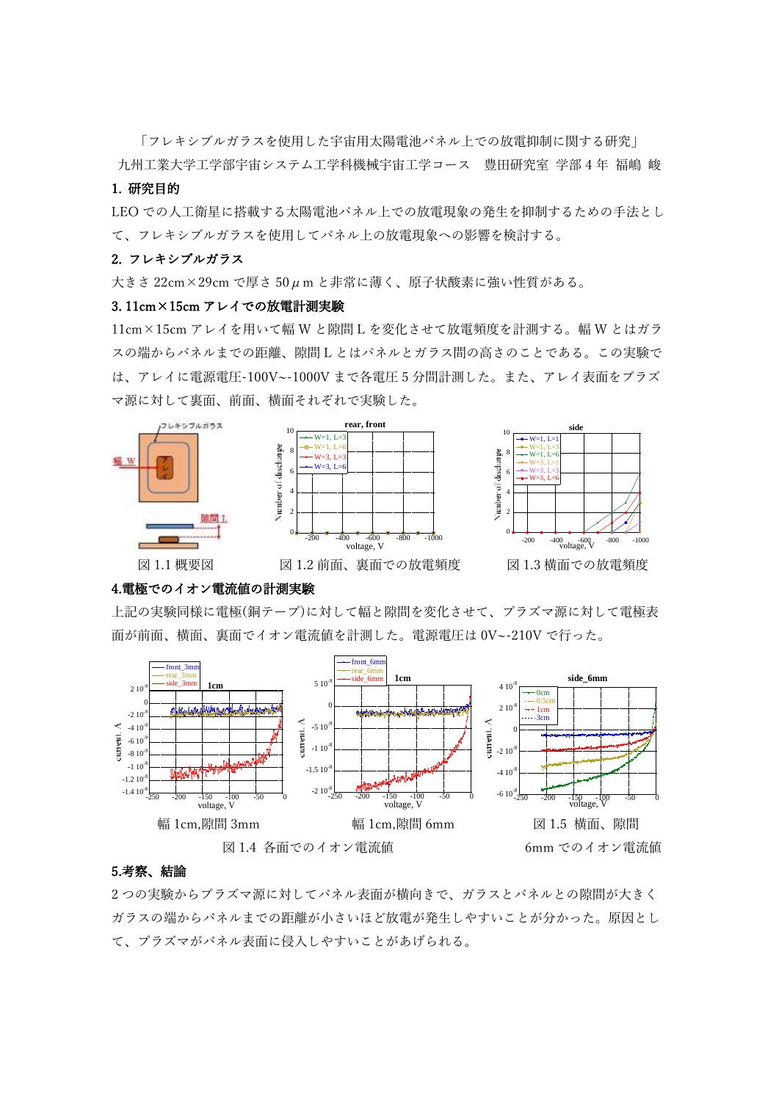「フレキシブルガラスを使用した宇宙用太陽電池パネル上での放電抑制に関する研究」

九州工業大学工学部宇宙システム工学科機械宇宙工学コース 豊田研究室 学部 4 年 福嶋 峻

# 1. 研究目的

LEO での人工衛星に搭載する太陽電池パネル上での放電現象の発生を抑制するための手法とし て、フレキシブルガラスを使用してパネル上の放電現象への影響を検討する。

#### 2. フレキシブルガラス

大きさ 22cm×29cm で厚さ 50μm と非常に薄く、原子状酸素に強い性質がある。

#### 3. 11cm×15cm アレイでの放電計測実験

11cm×15cm アレイを用いて幅 W と隙間 L を変化させて放電頻度を計測する。幅 W とはガラ スの端からパネルまでの距離、隙間 L とはパネルとガラス間の高さのことである。この実験で は、アレイに電源電圧-100V~-1000V まで各電圧 5 分間計測した。また、アレイ表面をプラズ マ源に対して裏面、前面、横面それぞれで実験した。



### 4.電極でのイオン電流値の計測実験

上記の実験同様に電極(銅テープ)に対して幅と隙間を変化させて、プラズマ源に対して電極表 面が前面、横面、裏面でイオン電流値を計測した。電源電圧は 0V~-210V で行った。



## 5.考察、結論

2 つの実験からプラズマ源に対してパネル表面が横向きで、ガラスとパネルとの隙間が大きく ガラスの端からパネルまでの距離が小さいほど放電が発生しやすいことが分かった。原因とし て、プラズマがパネル表面に侵入しやすいことがあげられる。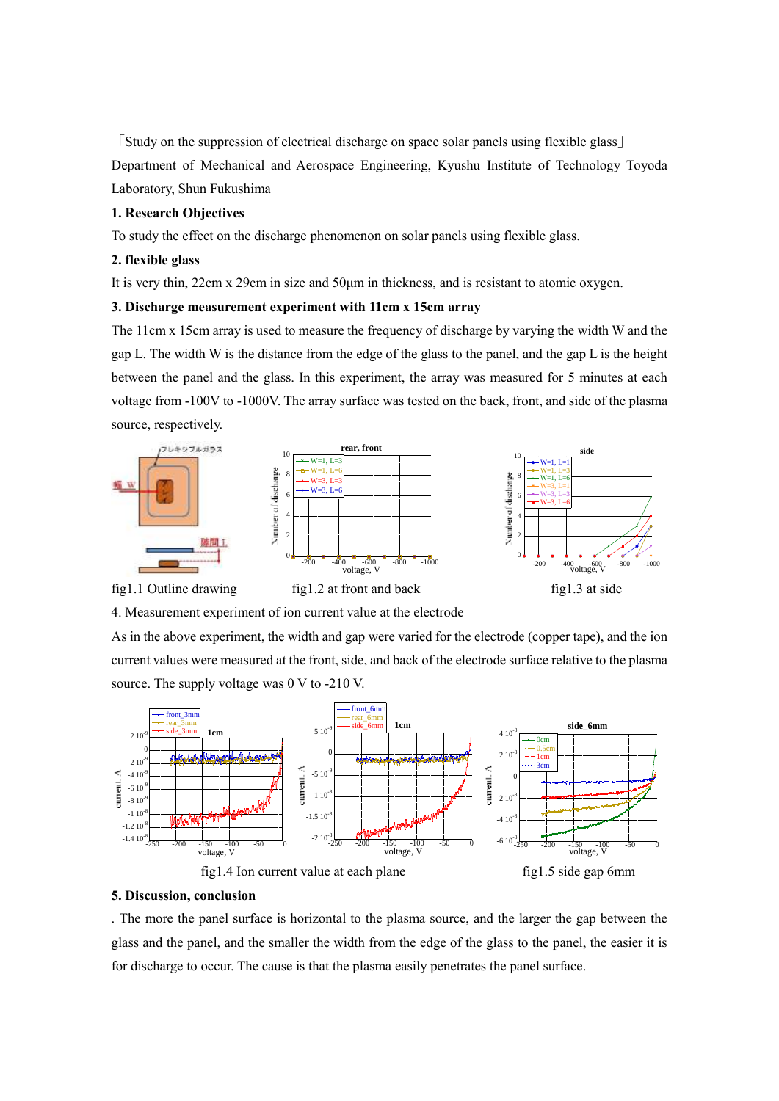「Study on the suppression of electrical discharge on space solar panels using flexible glass」 Department of Mechanical and Aerospace Engineering, Kyushu Institute of Technology Toyoda Laboratory, Shun Fukushima

### **1. Research Objectives**

To study the effect on the discharge phenomenon on solar panels using flexible glass.

#### **2. flexible glass**

It is very thin, 22cm x 29cm in size and 50μm in thickness, and is resistant to atomic oxygen.

#### **3. Discharge measurement experiment with 11cm x 15cm array**

The 11cm x 15cm array is used to measure the frequency of discharge by varying the width W and the gap L. The width W is the distance from the edge of the glass to the panel, and the gap L is the height between the panel and the glass. In this experiment, the array was measured for 5 minutes at each voltage from -100V to -1000V. The array surface was tested on the back, front, and side of the plasma source, respectively.



4. Measurement experiment of ion current value at the electrode

As in the above experiment, the width and gap were varied for the electrode (copper tape), and the ion current values were measured at the front, side, and back of the electrode surface relative to the plasma source. The supply voltage was 0 V to -210 V.



#### **5. Discussion, conclusion**

. The more the panel surface is horizontal to the plasma source, and the larger the gap between the glass and the panel, and the smaller the width from the edge of the glass to the panel, the easier it is for discharge to occur. The cause is that the plasma easily penetrates the panel surface.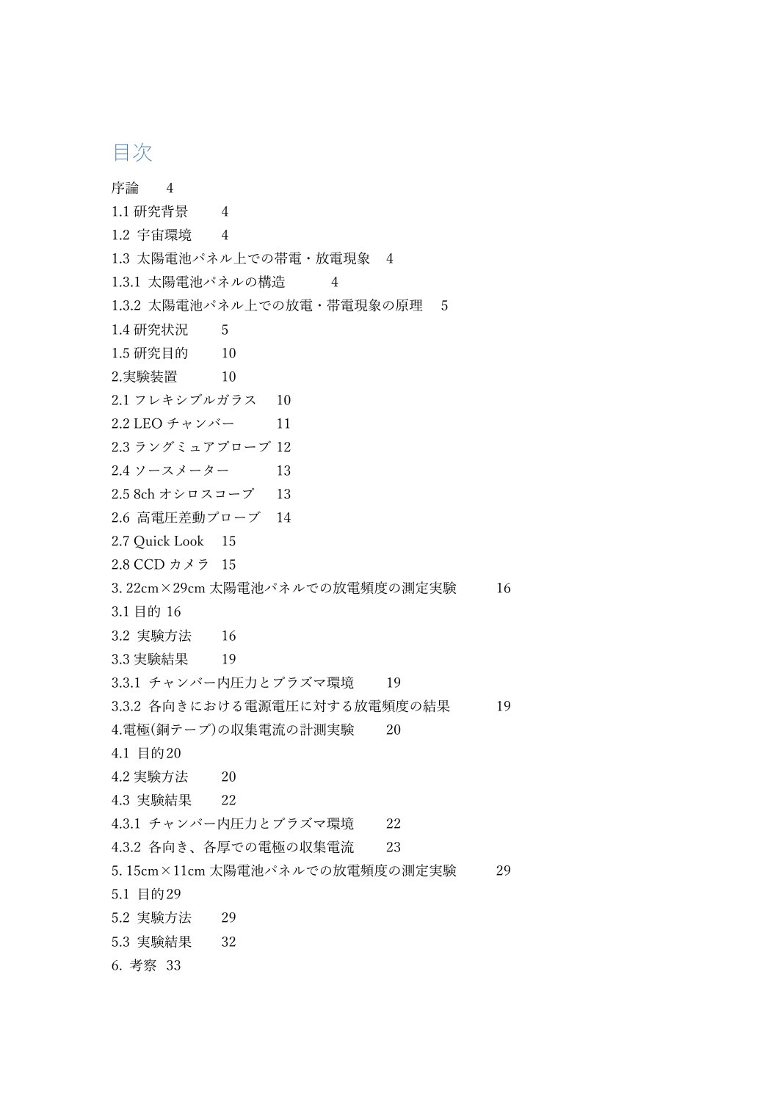# 目次

序論 4 1.1 研究背景 4 1.2 宇宙環境 4 1.3 太陽電池パネル上での帯電・放電現象 4 1.3.1 太陽電池パネルの構造 4 1.3.2 太陽電池パネル上での放電・帯電現象の原理 5 1.4 研究状況 5 1.5 研究目的 10 2.実験装置 10 2.1 フレキシブルガラス 10 2.2 LEO チャンバー 11 2.3 ラングミュアプローブ 12 2.4 ソースメーター 13 2.5 8ch オシロスコープ 13 2.6 高電圧差動プローブ 14 2.7 Quick Look 15 2.8 CCD カメラ 15 3. 22cm×29cm 太陽電池パネルでの放電頻度の測定実験 16 3.1 目的 16 3.2 実験方法 16 3.3 実験結果 19 3.3.1 チャンバー内圧力とプラズマ環境 19 3.3.2 各向きにおける電源電圧に対する放電頻度の結果 19 4.電極(銅テープ)の収集電流の計測実験 20 4.1 目的20 4.2 実験方法 20 4.3 実験結果 22 4.3.1 チャンバー内圧力とプラズマ環境 22 4.3.2 各向き、各厚での電極の収集電流 23 5. 15cm×11cm 太陽電池パネルでの放電頻度の測定実験 29 5.1 目的29 5.2 実験方法 29 5.3 実験結果 32 6. 考察 33